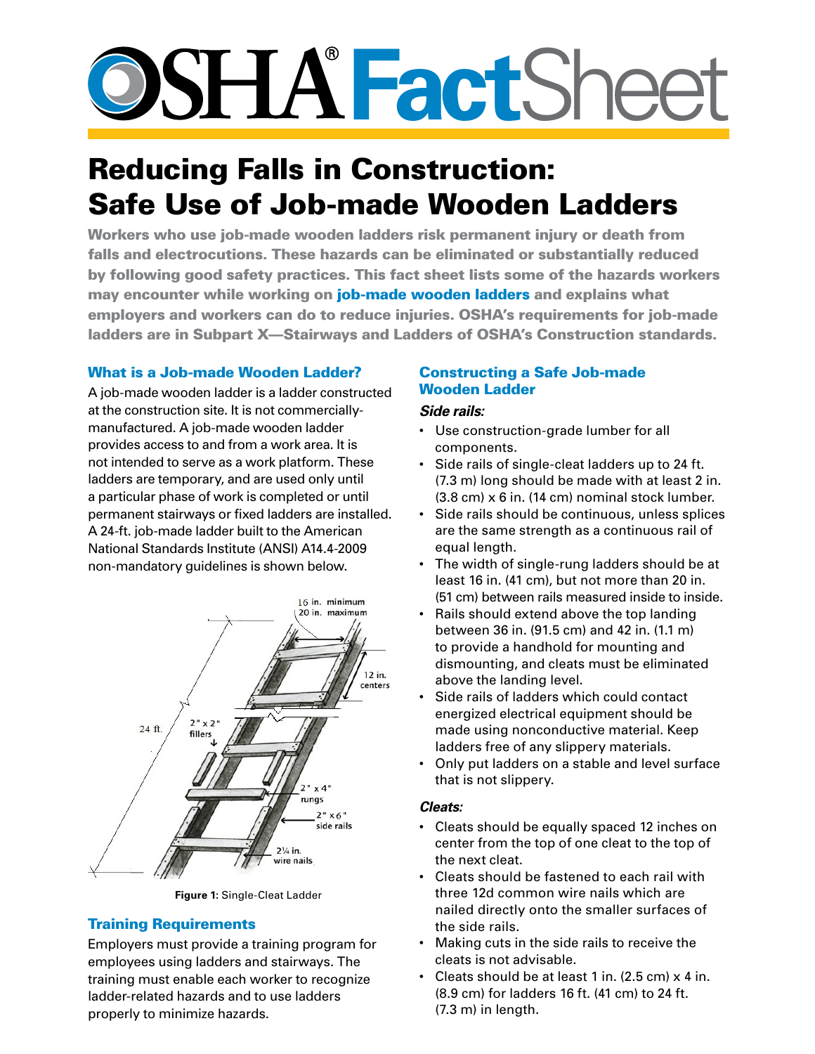# **SSHATactSheet**

# Reducing Falls in Construction: Safe Use of Job-made Wooden Ladders

Workers who use job-made wooden ladders risk permanent injury or death from falls and electrocutions. These hazards can be eliminated or substantially reduced by following good safety practices. This fact sheet lists some of the hazards workers may encounter while working on job-made wooden ladders and explains what employers and workers can do to reduce injuries. OSHA's requirements for job-made ladders are in Subpart X—Stairways and Ladders of OSHA's Construction standards.

# What is a Job-made Wooden Ladder?

A job-made wooden ladder is a ladder constructed at the construction site. It is not commerciallymanufactured. A job-made wooden ladder provides access to and from a work area. It is not intended to serve as a work platform. These ladders are temporary, and are used only until a particular phase of work is completed or until permanent stairways or fixed ladders are installed. A 24-ft. job-made ladder built to the American National Standards Institute (ANSI) A14.4-2009 non-mandatory guidelines is shown below.



**Figure 1:** Single-Cleat Ladder

# Training Requirements

Employers must provide a training program for employees using ladders and stairways. The training must enable each worker to recognize ladder-related hazards and to use ladders properly to minimize hazards.

### Constructing a Safe Job-made Wooden Ladder

#### *Side rails:*

- • Use construction-grade lumber for all components.
- Side rails of single-cleat ladders up to 24 ft. (7.3 m) long should be made with at least 2 in.  $(3.8 \text{ cm}) \times 6$  in. (14 cm) nominal stock lumber.
- Side rails should be continuous, unless splices are the same strength as a continuous rail of equal length.
- The width of single-rung ladders should be at least 16 in. (41 cm), but not more than 20 in. (51 cm) between rails measured inside to inside.
- Rails should extend above the top landing between 36 in. (91.5 cm) and 42 in. (1.1 m) to provide a handhold for mounting and dismounting, and cleats must be eliminated above the landing level.
- Side rails of ladders which could contact energized electrical equipment should be made using nonconductive material. Keep ladders free of any slippery materials.
- Only put ladders on a stable and level surface that is not slippery.

#### *Cleats:*

- • Cleats should be equally spaced 12 inches on center from the top of one cleat to the top of the next cleat.
- • Cleats should be fastened to each rail with three 12d common wire nails which are nailed directly onto the smaller surfaces of the side rails.
- Making cuts in the side rails to receive the cleats is not advisable.
- Cleats should be at least 1 in.  $(2.5 \text{ cm}) \times 4$  in. (8.9 cm) for ladders 16 ft. (41 cm) to 24 ft. (7.3 m) in length.